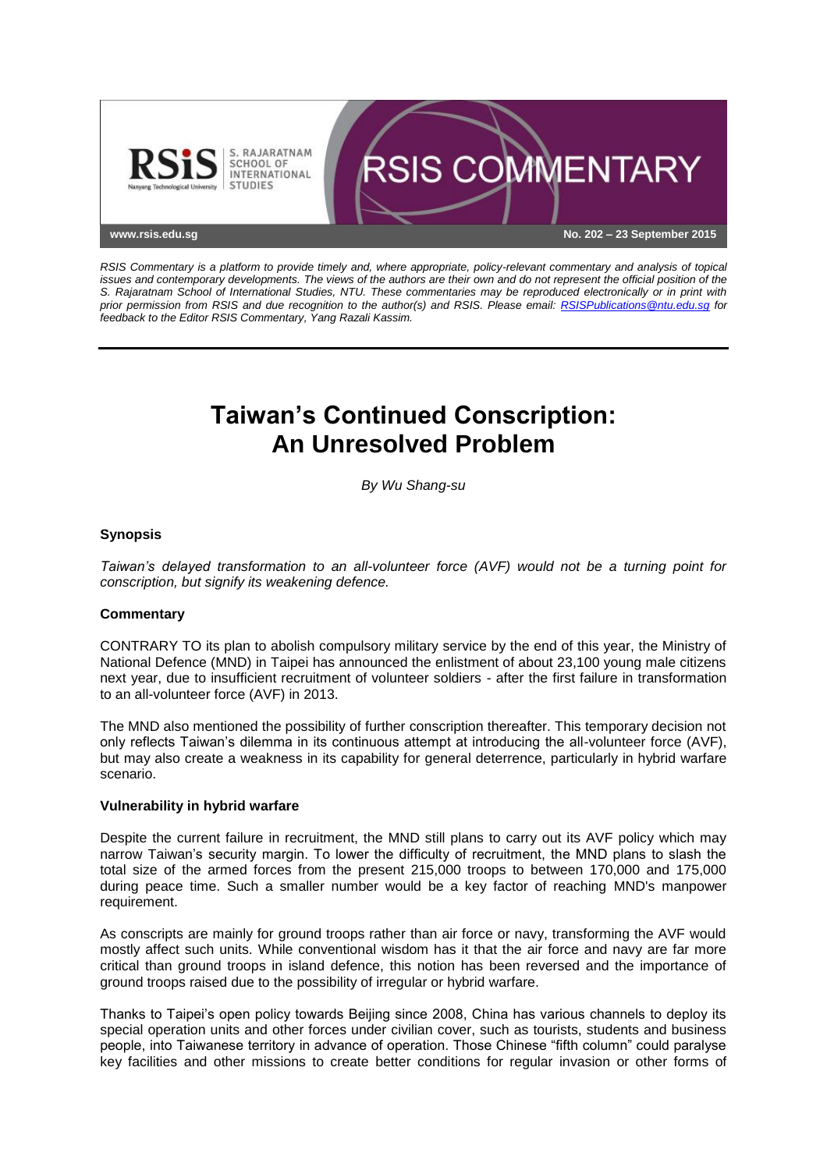

*RSIS Commentary is a platform to provide timely and, where appropriate, policy-relevant commentary and analysis of topical issues and contemporary developments. The views of the authors are their own and do not represent the official position of the S. Rajaratnam School of International Studies, NTU. These commentaries may be reproduced electronically or in print with prior permission from RSIS and due recognition to the author(s) and RSIS. Please email: [RSISPublications@ntu.edu.sg](mailto:RSISPublications@ntu.edu.sg) for feedback to the Editor RSIS Commentary, Yang Razali Kassim.*

# **Taiwan's Continued Conscription: An Unresolved Problem**

*By Wu Shang-su*

# **Synopsis**

*Taiwan's delayed transformation to an all-volunteer force (AVF) would not be a turning point for conscription, but signify its weakening defence.*

# **Commentary**

CONTRARY TO its plan to abolish compulsory military service by the end of this year, the Ministry of National Defence (MND) in Taipei has announced the enlistment of about 23,100 young male citizens next year, due to insufficient recruitment of volunteer soldiers - after the first failure in transformation to an all-volunteer force (AVF) in 2013.

The MND also mentioned the possibility of further conscription thereafter. This temporary decision not only reflects Taiwan's dilemma in its continuous attempt at introducing the all-volunteer force (AVF), but may also create a weakness in its capability for general deterrence, particularly in hybrid warfare scenario.

# **Vulnerability in hybrid warfare**

Despite the current failure in recruitment, the MND still plans to carry out its AVF policy which may narrow Taiwan's security margin. To lower the difficulty of recruitment, the MND plans to slash the total size of the armed forces from the present 215,000 troops to between 170,000 and 175,000 during peace time. Such a smaller number would be a key factor of reaching MND's manpower requirement.

As conscripts are mainly for ground troops rather than air force or navy, transforming the AVF would mostly affect such units. While conventional wisdom has it that the air force and navy are far more critical than ground troops in island defence, this notion has been reversed and the importance of ground troops raised due to the possibility of irregular or hybrid warfare.

Thanks to Taipei's open policy towards Beijing since 2008, China has various channels to deploy its special operation units and other forces under civilian cover, such as tourists, students and business people, into Taiwanese territory in advance of operation. Those Chinese "fifth column" could paralyse key facilities and other missions to create better conditions for regular invasion or other forms of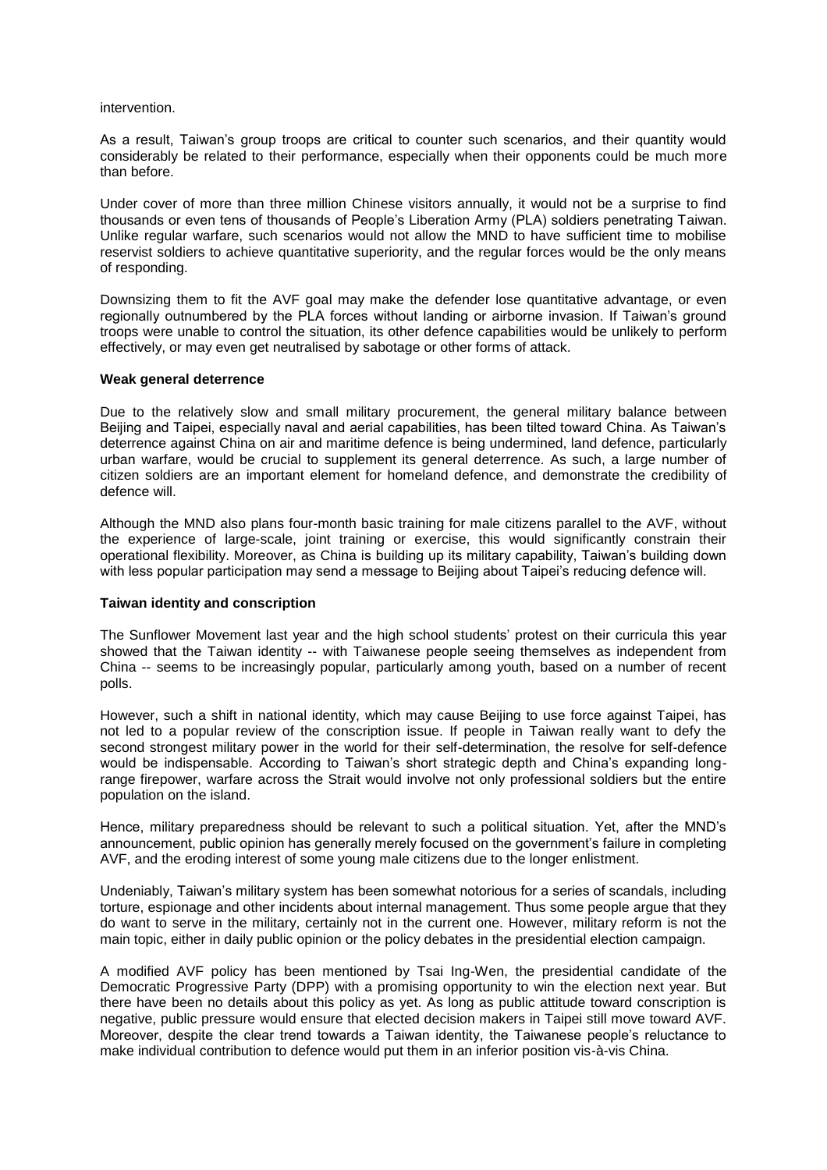#### intervention.

As a result, Taiwan's group troops are critical to counter such scenarios, and their quantity would considerably be related to their performance, especially when their opponents could be much more than before.

Under cover of more than three million Chinese visitors annually, it would not be a surprise to find thousands or even tens of thousands of People's Liberation Army (PLA) soldiers penetrating Taiwan. Unlike regular warfare, such scenarios would not allow the MND to have sufficient time to mobilise reservist soldiers to achieve quantitative superiority, and the regular forces would be the only means of responding.

Downsizing them to fit the AVF goal may make the defender lose quantitative advantage, or even regionally outnumbered by the PLA forces without landing or airborne invasion. If Taiwan's ground troops were unable to control the situation, its other defence capabilities would be unlikely to perform effectively, or may even get neutralised by sabotage or other forms of attack.

#### **Weak general deterrence**

Due to the relatively slow and small military procurement, the general military balance between Beijing and Taipei, especially naval and aerial capabilities, has been tilted toward China. As Taiwan's deterrence against China on air and maritime defence is being undermined, land defence, particularly urban warfare, would be crucial to supplement its general deterrence. As such, a large number of citizen soldiers are an important element for homeland defence, and demonstrate the credibility of defence will.

Although the MND also plans four-month basic training for male citizens parallel to the AVF, without the experience of large-scale, joint training or exercise, this would significantly constrain their operational flexibility. Moreover, as China is building up its military capability, Taiwan's building down with less popular participation may send a message to Beijing about Taipei's reducing defence will.

# **Taiwan identity and conscription**

The Sunflower Movement last year and the high school students' protest on their curricula this year showed that the Taiwan identity -- with Taiwanese people seeing themselves as independent from China -- seems to be increasingly popular, particularly among youth, based on a number of recent polls.

However, such a shift in national identity, which may cause Beijing to use force against Taipei, has not led to a popular review of the conscription issue. If people in Taiwan really want to defy the second strongest military power in the world for their self-determination, the resolve for self-defence would be indispensable. According to Taiwan's short strategic depth and China's expanding longrange firepower, warfare across the Strait would involve not only professional soldiers but the entire population on the island.

Hence, military preparedness should be relevant to such a political situation. Yet, after the MND's announcement, public opinion has generally merely focused on the government's failure in completing AVF, and the eroding interest of some young male citizens due to the longer enlistment.

Undeniably, Taiwan's military system has been somewhat notorious for a series of scandals, including torture, espionage and other incidents about internal management. Thus some people argue that they do want to serve in the military, certainly not in the current one. However, military reform is not the main topic, either in daily public opinion or the policy debates in the presidential election campaign.

A modified AVF policy has been mentioned by Tsai Ing-Wen, the presidential candidate of the Democratic Progressive Party (DPP) with a promising opportunity to win the election next year. But there have been no details about this policy as yet. As long as public attitude toward conscription is negative, public pressure would ensure that elected decision makers in Taipei still move toward AVF. Moreover, despite the clear trend towards a Taiwan identity, the Taiwanese people's reluctance to make individual contribution to defence would put them in an inferior position vis-à-vis China.